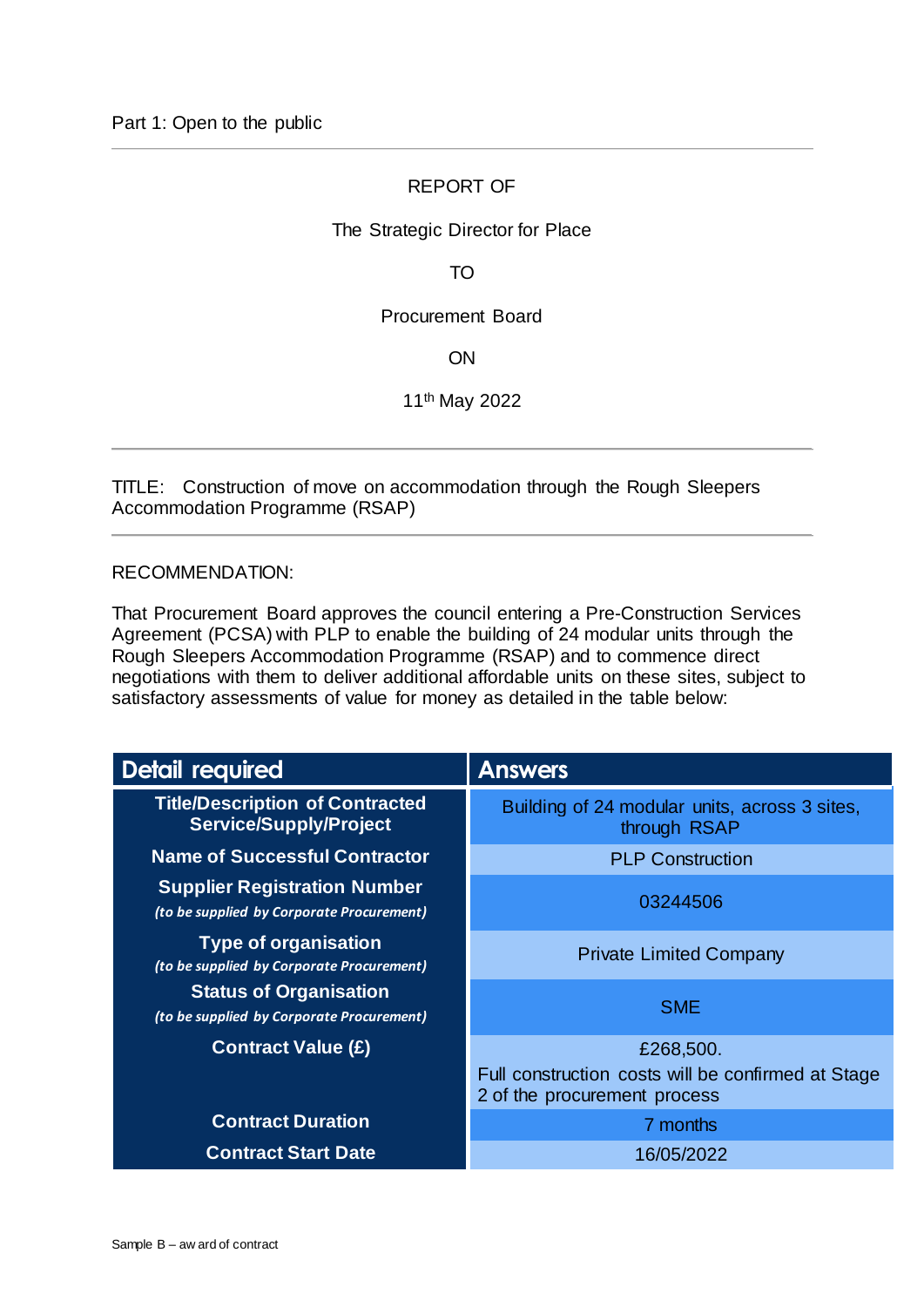# REPORT OF

### The Strategic Director for Place

TO

### Procurement Board

ON

11th May 2022

TITLE: Construction of move on accommodation through the Rough Sleepers Accommodation Programme (RSAP)

#### RECOMMENDATION:

That Procurement Board approves the council entering a Pre-Construction Services Agreement (PCSA) with PLP to enable the building of 24 modular units through the Rough Sleepers Accommodation Programme (RSAP) and to commence direct negotiations with them to deliver additional affordable units on these sites, subject to satisfactory assessments of value for money as detailed in the table below:

| <b>Detail required</b>                                                           | <b>Answers</b>                                                                     |  |
|----------------------------------------------------------------------------------|------------------------------------------------------------------------------------|--|
| <b>Title/Description of Contracted</b><br><b>Service/Supply/Project</b>          | Building of 24 modular units, across 3 sites,<br>through RSAP                      |  |
| <b>Name of Successful Contractor</b>                                             | <b>PLP Construction</b>                                                            |  |
| <b>Supplier Registration Number</b><br>(to be supplied by Corporate Procurement) | 03244506                                                                           |  |
| <b>Type of organisation</b><br>(to be supplied by Corporate Procurement)         | <b>Private Limited Company</b>                                                     |  |
| <b>Status of Organisation</b><br>(to be supplied by Corporate Procurement)       | <b>SME</b>                                                                         |  |
| <b>Contract Value (£)</b>                                                        | £268,500.                                                                          |  |
|                                                                                  | Full construction costs will be confirmed at Stage<br>2 of the procurement process |  |
| <b>Contract Duration</b>                                                         | 7 months                                                                           |  |
| <b>Contract Start Date</b>                                                       | 16/05/2022                                                                         |  |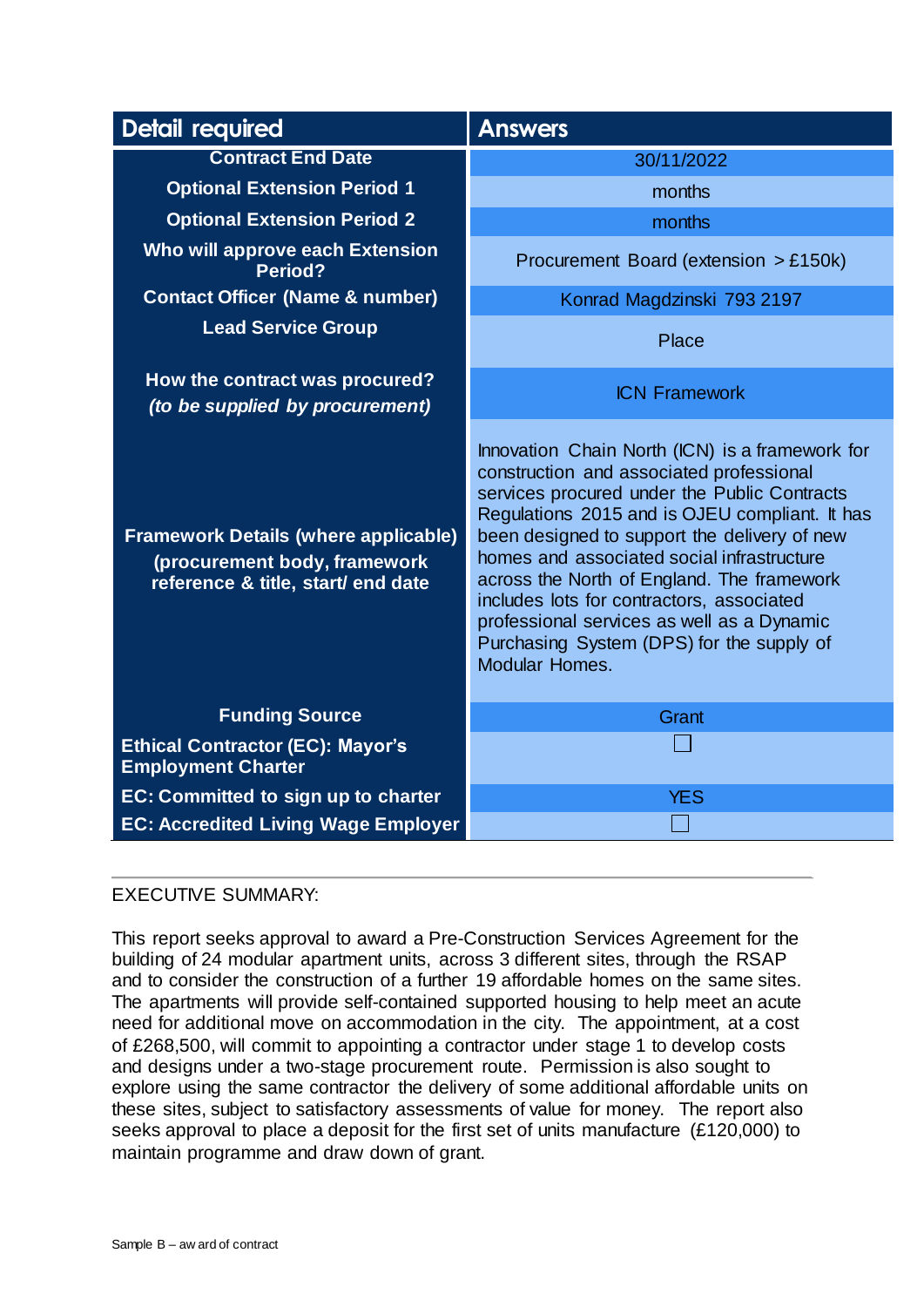| <b>Detail required</b>                                                                                            | <b>Answers</b>                                                                                                                                                                                                                                                                                                                                                                                                                                                                                             |
|-------------------------------------------------------------------------------------------------------------------|------------------------------------------------------------------------------------------------------------------------------------------------------------------------------------------------------------------------------------------------------------------------------------------------------------------------------------------------------------------------------------------------------------------------------------------------------------------------------------------------------------|
| <b>Contract End Date</b>                                                                                          | 30/11/2022                                                                                                                                                                                                                                                                                                                                                                                                                                                                                                 |
| <b>Optional Extension Period 1</b>                                                                                | months                                                                                                                                                                                                                                                                                                                                                                                                                                                                                                     |
| <b>Optional Extension Period 2</b>                                                                                | months                                                                                                                                                                                                                                                                                                                                                                                                                                                                                                     |
| Who will approve each Extension<br><b>Period?</b>                                                                 | Procurement Board (extension > £150k)                                                                                                                                                                                                                                                                                                                                                                                                                                                                      |
| <b>Contact Officer (Name &amp; number)</b>                                                                        | Konrad Magdzinski 793 2197                                                                                                                                                                                                                                                                                                                                                                                                                                                                                 |
| <b>Lead Service Group</b>                                                                                         | Place                                                                                                                                                                                                                                                                                                                                                                                                                                                                                                      |
| How the contract was procured?<br>(to be supplied by procurement)                                                 | <b>ICN Framework</b>                                                                                                                                                                                                                                                                                                                                                                                                                                                                                       |
| <b>Framework Details (where applicable)</b><br>(procurement body, framework<br>reference & title, start/ end date | Innovation Chain North (ICN) is a framework for<br>construction and associated professional<br>services procured under the Public Contracts<br>Regulations 2015 and is OJEU compliant. It has<br>been designed to support the delivery of new<br>homes and associated social infrastructure<br>across the North of England. The framework<br>includes lots for contractors, associated<br>professional services as well as a Dynamic<br>Purchasing System (DPS) for the supply of<br><b>Modular Homes.</b> |
| <b>Funding Source</b>                                                                                             | Grant                                                                                                                                                                                                                                                                                                                                                                                                                                                                                                      |
| <b>Ethical Contractor (EC): Mayor's</b><br><b>Employment Charter</b>                                              |                                                                                                                                                                                                                                                                                                                                                                                                                                                                                                            |
| <b>EC: Committed to sign up to charter</b>                                                                        | <b>YES</b>                                                                                                                                                                                                                                                                                                                                                                                                                                                                                                 |
| <b>EC: Accredited Living Wage Employer</b>                                                                        |                                                                                                                                                                                                                                                                                                                                                                                                                                                                                                            |

# EXECUTIVE SUMMARY:

This report seeks approval to award a Pre-Construction Services Agreement for the building of 24 modular apartment units, across 3 different sites, through the RSAP and to consider the construction of a further 19 affordable homes on the same sites. The apartments will provide self-contained supported housing to help meet an acute need for additional move on accommodation in the city. The appointment, at a cost of £268,500, will commit to appointing a contractor under stage 1 to develop costs and designs under a two-stage procurement route. Permission is also sought to explore using the same contractor the delivery of some additional affordable units on these sites, subject to satisfactory assessments of value for money. The report also seeks approval to place a deposit for the first set of units manufacture (£120,000) to maintain programme and draw down of grant.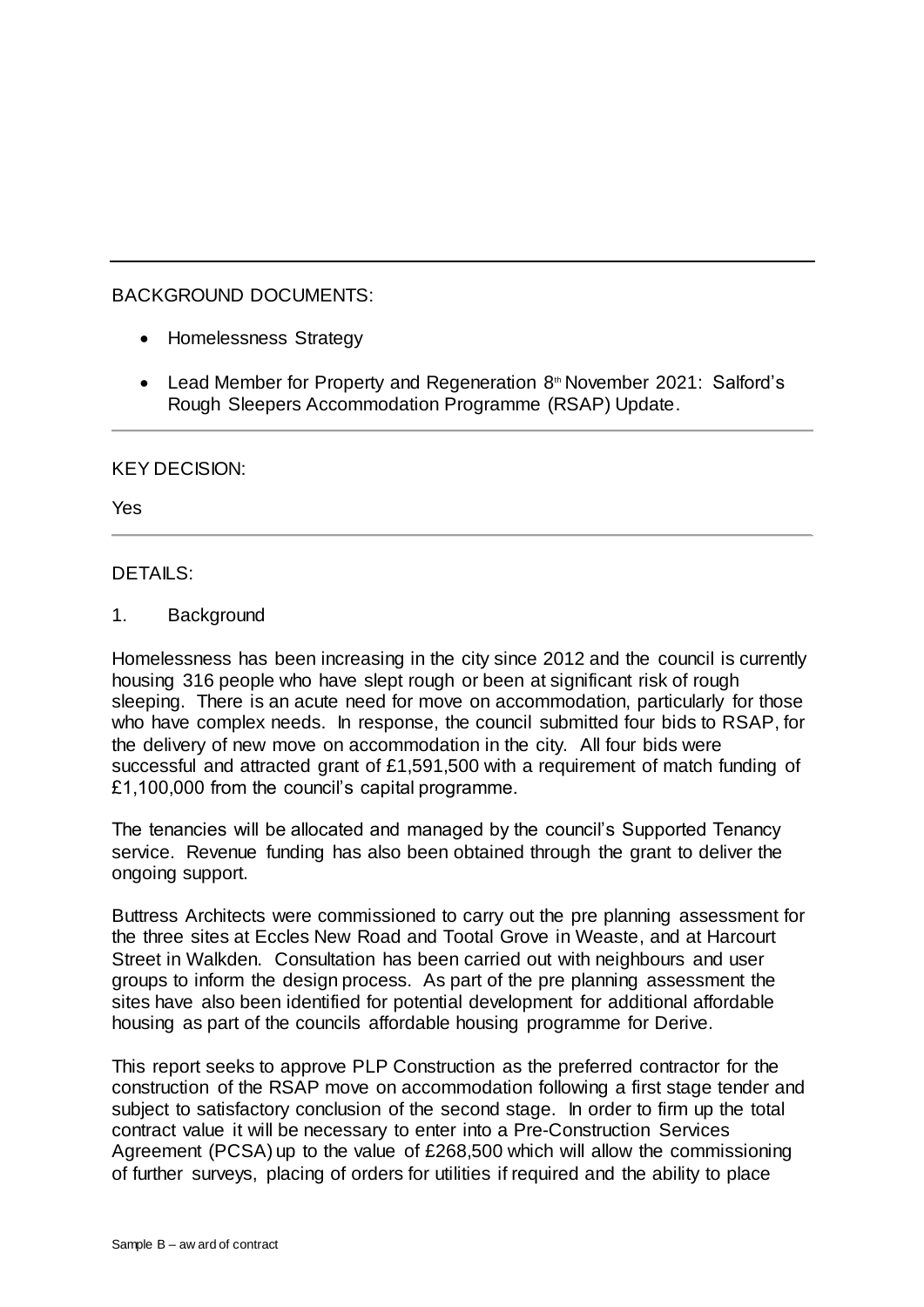# BACKGROUND DOCUMENTS:

- Homelessness Strategy
- Lead Member for Property and Regeneration 8<sup>th</sup> November 2021: Salford's Rough Sleepers Accommodation Programme (RSAP) Update.

# KEY DECISION:

Yes

# DETAILS:

1. Background

Homelessness has been increasing in the city since 2012 and the council is currently housing 316 people who have slept rough or been at significant risk of rough sleeping. There is an acute need for move on accommodation, particularly for those who have complex needs. In response, the council submitted four bids to RSAP, for the delivery of new move on accommodation in the city. All four bids were successful and attracted grant of £1,591,500 with a requirement of match funding of £1,100,000 from the council's capital programme.

The tenancies will be allocated and managed by the council's Supported Tenancy service. Revenue funding has also been obtained through the grant to deliver the ongoing support.

Buttress Architects were commissioned to carry out the pre planning assessment for the three sites at Eccles New Road and Tootal Grove in Weaste, and at Harcourt Street in Walkden. Consultation has been carried out with neighbours and user groups to inform the design process. As part of the pre planning assessment the sites have also been identified for potential development for additional affordable housing as part of the councils affordable housing programme for Derive.

This report seeks to approve PLP Construction as the preferred contractor for the construction of the RSAP move on accommodation following a first stage tender and subject to satisfactory conclusion of the second stage. In order to firm up the total contract value it will be necessary to enter into a Pre-Construction Services Agreement (PCSA) up to the value of £268,500 which will allow the commissioning of further surveys, placing of orders for utilities if required and the ability to place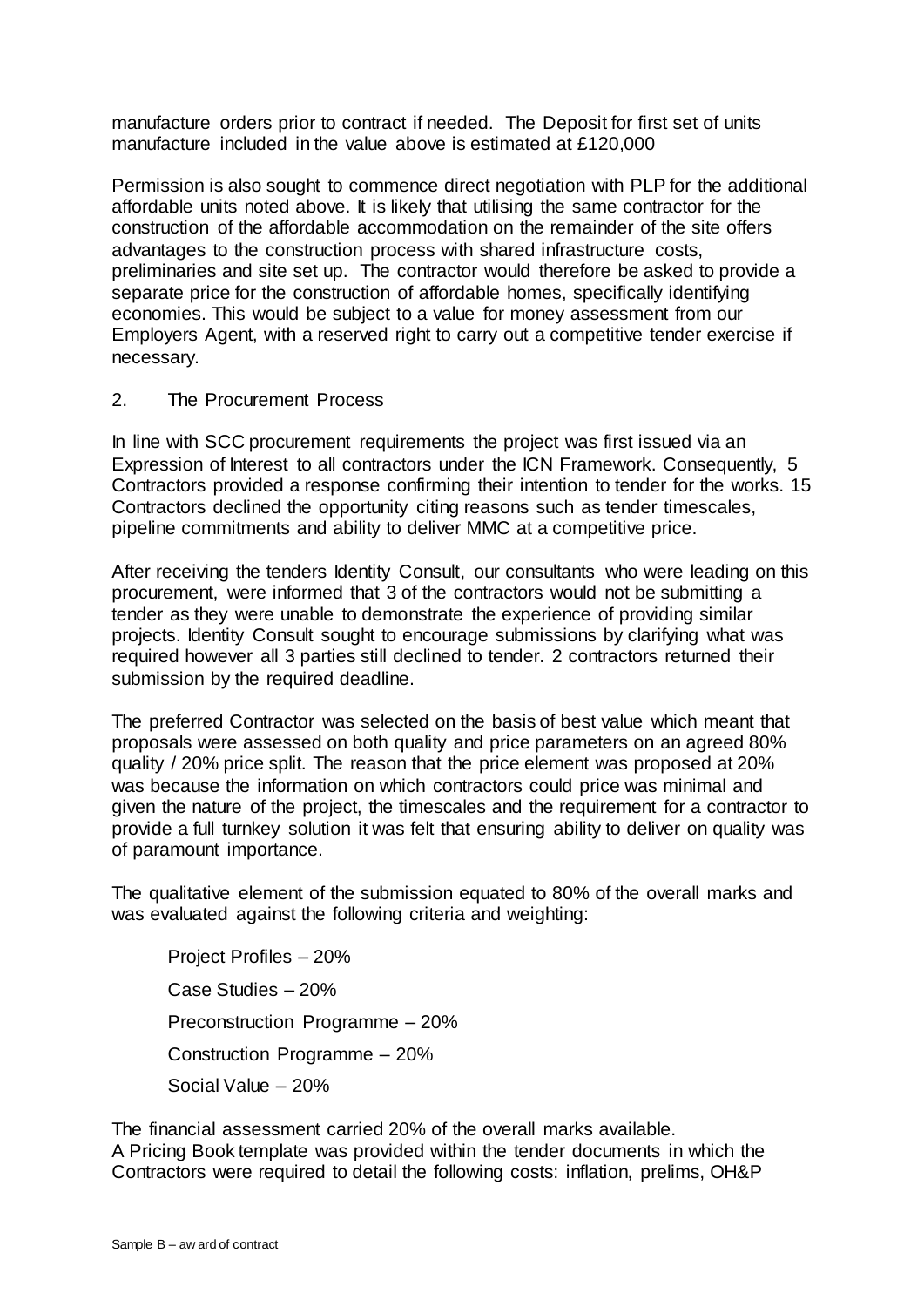manufacture orders prior to contract if needed. The Deposit for first set of units manufacture included in the value above is estimated at £120,000

Permission is also sought to commence direct negotiation with PLP for the additional affordable units noted above. It is likely that utilising the same contractor for the construction of the affordable accommodation on the remainder of the site offers advantages to the construction process with shared infrastructure costs, preliminaries and site set up. The contractor would therefore be asked to provide a separate price for the construction of affordable homes, specifically identifying economies. This would be subject to a value for money assessment from our Employers Agent, with a reserved right to carry out a competitive tender exercise if necessary.

## 2. The Procurement Process

In line with SCC procurement requirements the project was first issued via an Expression of Interest to all contractors under the ICN Framework. Consequently, 5 Contractors provided a response confirming their intention to tender for the works. 15 Contractors declined the opportunity citing reasons such as tender timescales, pipeline commitments and ability to deliver MMC at a competitive price.

After receiving the tenders Identity Consult, our consultants who were leading on this procurement, were informed that 3 of the contractors would not be submitting a tender as they were unable to demonstrate the experience of providing similar projects. Identity Consult sought to encourage submissions by clarifying what was required however all 3 parties still declined to tender. 2 contractors returned their submission by the required deadline.

The preferred Contractor was selected on the basis of best value which meant that proposals were assessed on both quality and price parameters on an agreed 80% quality / 20% price split. The reason that the price element was proposed at 20% was because the information on which contractors could price was minimal and given the nature of the project, the timescales and the requirement for a contractor to provide a full turnkey solution it was felt that ensuring ability to deliver on quality was of paramount importance.

The qualitative element of the submission equated to 80% of the overall marks and was evaluated against the following criteria and weighting:

Project Profiles – 20% Case Studies – 20% Preconstruction Programme – 20% Construction Programme – 20% Social Value – 20%

The financial assessment carried 20% of the overall marks available.

A Pricing Book template was provided within the tender documents in which the Contractors were required to detail the following costs: inflation, prelims, OH&P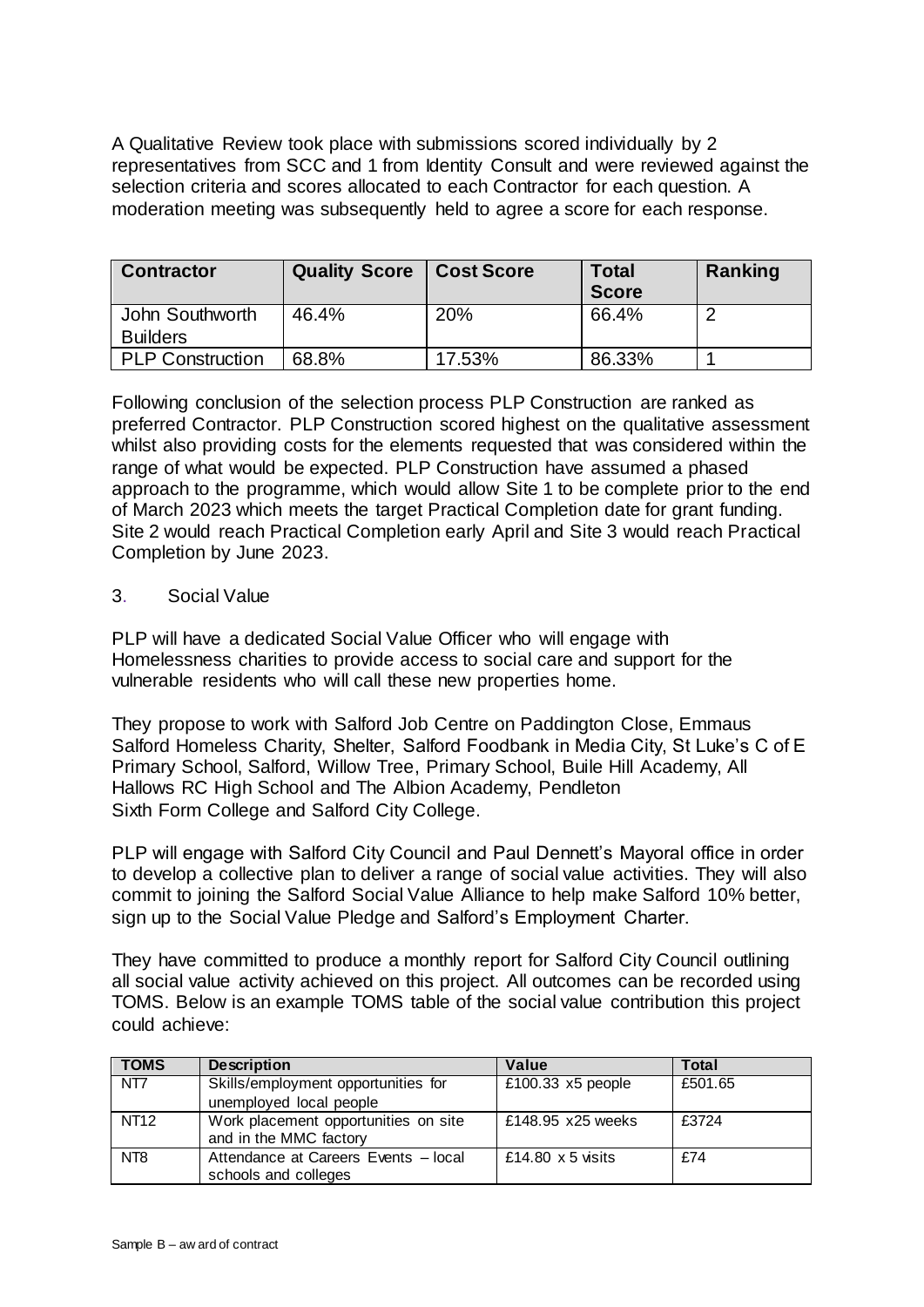A Qualitative Review took place with submissions scored individually by 2 representatives from SCC and 1 from Identity Consult and were reviewed against the selection criteria and scores allocated to each Contractor for each question. A moderation meeting was subsequently held to agree a score for each response.

| <b>Contractor</b>       | <b>Quality Score   Cost Score</b> |        | Total<br><b>Score</b> | Ranking |
|-------------------------|-----------------------------------|--------|-----------------------|---------|
| John Southworth         | 46.4%                             | 20%    | 66.4%                 |         |
| <b>Builders</b>         |                                   |        |                       |         |
| <b>PLP Construction</b> | 68.8%                             | 17.53% | 86.33%                |         |

Following conclusion of the selection process PLP Construction are ranked as preferred Contractor. PLP Construction scored highest on the qualitative assessment whilst also providing costs for the elements requested that was considered within the range of what would be expected. PLP Construction have assumed a phased approach to the programme, which would allow Site 1 to be complete prior to the end of March 2023 which meets the target Practical Completion date for grant funding. Site 2 would reach Practical Completion early April and Site 3 would reach Practical Completion by June 2023.

## 3. Social Value

PLP will have a dedicated Social Value Officer who will engage with Homelessness charities to provide access to social care and support for the vulnerable residents who will call these new properties home.

They propose to work with Salford Job Centre on Paddington Close, Emmaus Salford Homeless Charity, Shelter, Salford Foodbank in Media City, St Luke's C of E Primary School, Salford, Willow Tree, Primary School, Buile Hill Academy, All Hallows RC High School and The Albion Academy, Pendleton Sixth Form College and Salford City College.

PLP will engage with Salford City Council and Paul Dennett's Mayoral office in order to develop a collective plan to deliver a range of social value activities. They will also commit to joining the Salford Social Value Alliance to help make Salford 10% better, sign up to the Social Value Pledge and Salford's Employment Charter.

They have committed to produce a monthly report for Salford City Council outlining all social value activity achieved on this project. All outcomes can be recorded using TOMS. Below is an example TOMS table of the social value contribution this project could achieve:

| <b>TOMS</b>     | <b>Description</b>                                             | Value                    | Total   |
|-----------------|----------------------------------------------------------------|--------------------------|---------|
| NT7             | Skills/employment opportunities for<br>unemployed local people | £100.33 $x5$ people      | £501.65 |
| <b>NT12</b>     | Work placement opportunities on site<br>and in the MMC factory | £148.95 x25 weeks        | £3724   |
| NT <sub>8</sub> | Attendance at Careers Events - local<br>schools and colleges   | £14.80 $\times$ 5 visits | £74     |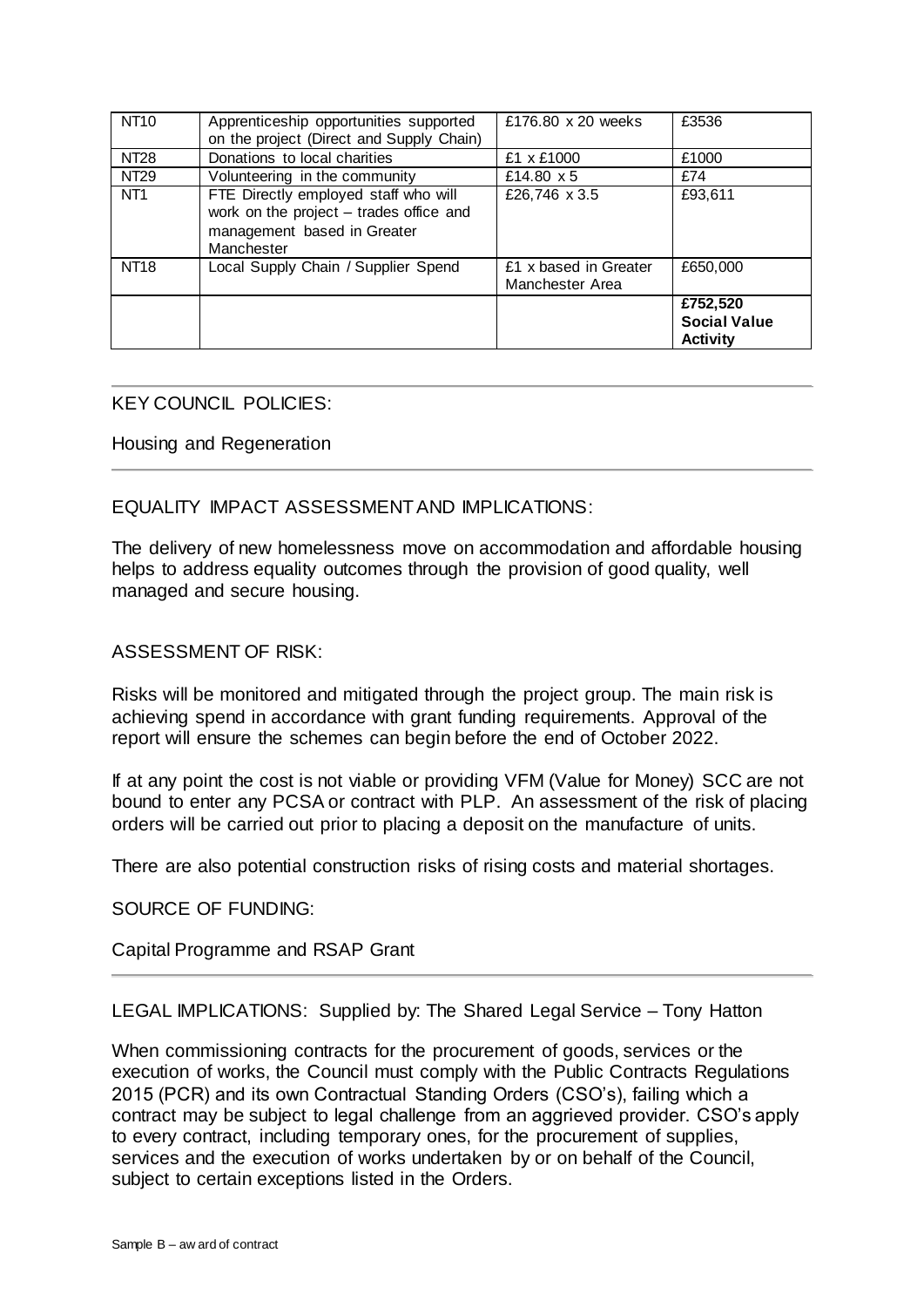| <b>NT10</b>     | Apprenticeship opportunities supported<br>on the project (Direct and Supply Chain)                                           | £176.80 x 20 weeks                       | £3536               |
|-----------------|------------------------------------------------------------------------------------------------------------------------------|------------------------------------------|---------------------|
| <b>NT28</b>     | Donations to local charities                                                                                                 | £1 x £1000                               | £1000               |
| <b>NT29</b>     | Volunteering in the community                                                                                                | £14.80 x 5                               | £74                 |
| NT <sub>1</sub> | FTE Directly employed staff who will<br>work on the project - trades office and<br>management based in Greater<br>Manchester | £26,746 x 3.5                            | £93,611             |
| <b>NT18</b>     | Local Supply Chain / Supplier Spend                                                                                          | £1 x based in Greater<br>Manchester Area | £650,000            |
|                 |                                                                                                                              |                                          | £752,520            |
|                 |                                                                                                                              |                                          | <b>Social Value</b> |
|                 |                                                                                                                              |                                          | <b>Activity</b>     |

## KEY COUNCIL POLICIES:

### Housing and Regeneration

## EQUALITY IMPACT ASSESSMENT AND IMPLICATIONS:

The delivery of new homelessness move on accommodation and affordable housing helps to address equality outcomes through the provision of good quality, well managed and secure housing.

### ASSESSMENT OF RISK:

Risks will be monitored and mitigated through the project group. The main risk is achieving spend in accordance with grant funding requirements. Approval of the report will ensure the schemes can begin before the end of October 2022.

If at any point the cost is not viable or providing VFM (Value for Money) SCC are not bound to enter any PCSA or contract with PLP. An assessment of the risk of placing orders will be carried out prior to placing a deposit on the manufacture of units.

There are also potential construction risks of rising costs and material shortages.

SOURCE OF FUNDING:

Capital Programme and RSAP Grant

LEGAL IMPLICATIONS: Supplied by: The Shared Legal Service – Tony Hatton

When commissioning contracts for the procurement of goods, services or the execution of works, the Council must comply with the Public Contracts Regulations 2015 (PCR) and its own Contractual Standing Orders (CSO's), failing which a contract may be subject to legal challenge from an aggrieved provider. CSO's apply to every contract, including temporary ones, for the procurement of supplies, services and the execution of works undertaken by or on behalf of the Council, subject to certain exceptions listed in the Orders.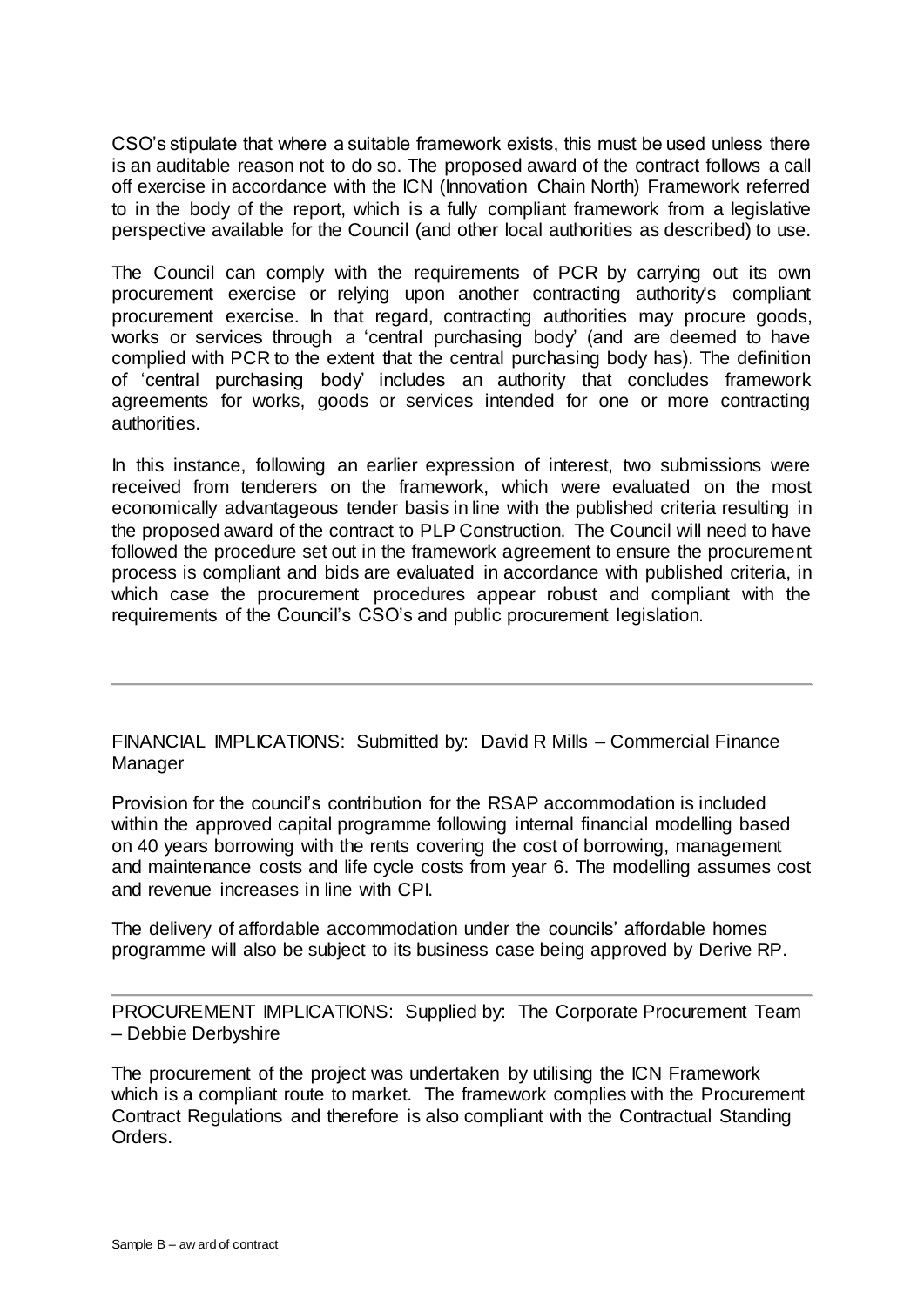CSO's stipulate that where a suitable framework exists, this must be used unless there is an auditable reason not to do so. The proposed award of the contract follows a call off exercise in accordance with the ICN (Innovation Chain North) Framework referred to in the body of the report, which is a fully compliant framework from a legislative perspective available for the Council (and other local authorities as described) to use.

The Council can comply with the requirements of PCR by carrying out its own procurement exercise or relying upon another contracting authority's compliant procurement exercise. In that regard, contracting authorities may procure goods, works or services through a 'central purchasing body' (and are deemed to have complied with PCR to the extent that the central purchasing body has). The definition of 'central purchasing body' includes an authority that concludes framework agreements for works, goods or services intended for one or more contracting authorities.

In this instance, following an earlier expression of interest, two submissions were received from tenderers on the framework, which were evaluated on the most economically advantageous tender basis in line with the published criteria resulting in the proposed award of the contract to PLP Construction. The Council will need to have followed the procedure set out in the framework agreement to ensure the procurement process is compliant and bids are evaluated in accordance with published criteria, in which case the procurement procedures appear robust and compliant with the requirements of the Council's CSO's and public procurement legislation.

FINANCIAL IMPLICATIONS: Submitted by: David R Mills – Commercial Finance Manager

Provision for the council's contribution for the RSAP accommodation is included within the approved capital programme following internal financial modelling based on 40 years borrowing with the rents covering the cost of borrowing, management and maintenance costs and life cycle costs from year 6. The modelling assumes cost and revenue increases in line with CPI.

The delivery of affordable accommodation under the councils' affordable homes programme will also be subject to its business case being approved by Derive RP.

PROCUREMENT IMPLICATIONS: Supplied by: The Corporate Procurement Team – Debbie Derbyshire

The procurement of the project was undertaken by utilising the ICN Framework which is a compliant route to market. The framework complies with the Procurement Contract Regulations and therefore is also compliant with the Contractual Standing Orders.